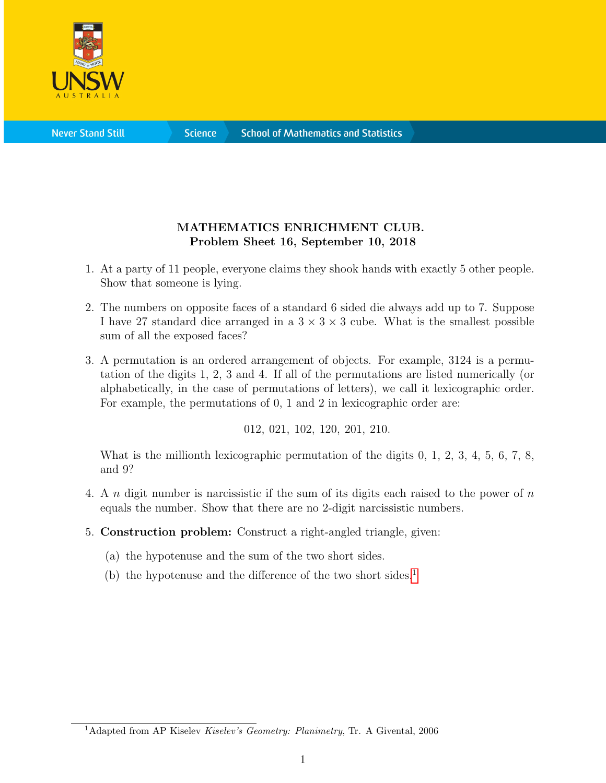

**Science** 

## MATHEMATICS ENRICHMENT CLUB. Problem Sheet 16, September 10, 2018

- 1. At a party of 11 people, everyone claims they shook hands with exactly 5 other people. Show that someone is lying.
- 2. The numbers on opposite faces of a standard 6 sided die always add up to 7. Suppose I have 27 standard dice arranged in a  $3 \times 3 \times 3$  cube. What is the smallest possible sum of all the exposed faces?
- 3. A permutation is an ordered arrangement of objects. For example, 3124 is a permutation of the digits 1, 2, 3 and 4. If all of the permutations are listed numerically (or alphabetically, in the case of permutations of letters), we call it lexicographic order. For example, the permutations of 0, 1 and 2 in lexicographic order are:

012, 021, 102, 120, 201, 210.

What is the millionth lexicographic permutation of the digits 0, 1, 2, 3, 4, 5, 6, 7, 8, and 9?

- 4. A n digit number is narcissistic if the sum of its digits each raised to the power of n equals the number. Show that there are no 2-digit narcissistic numbers.
- 5. Construction problem: Construct a right-angled triangle, given:
	- (a) the hypotenuse and the sum of the two short sides.
	- (b) the hypotenuse and the difference of the two short sides.<sup>[1](#page-0-0)</sup>

<span id="page-0-0"></span><sup>&</sup>lt;sup>1</sup>Adapted from AP Kiselev Kiselev's Geometry: Planimetry, Tr. A Givental, 2006